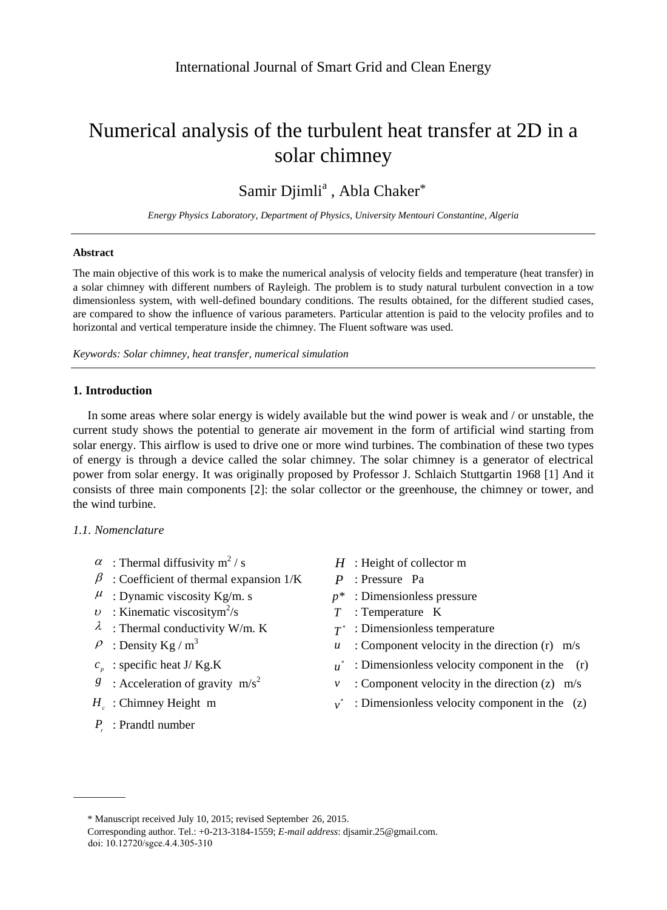# Numerical analysis of the turbulent heat transfer at 2D in a solar chimney

# Samir Djimli<sup>a</sup>, Abla Chaker\*

*Energy Physics Laboratory, Department of Physics, University Mentouri Constantine, Algeria*

## **Abstract**

The main objective of this work is to make the numerical analysis of velocity fields and temperature (heat transfer) in a solar chimney with different numbers of Rayleigh. The problem is to study natural turbulent convection in a tow dimensionless system, with well-defined boundary conditions. The results obtained, for the different studied cases, are compared to show the influence of various parameters. Particular attention is paid to the velocity profiles and to horizontal and vertical temperature inside the chimney. The Fluent software was used.

*Keywords: Solar chimney, heat transfer, numerical simulation*

### **1. Introduction**

In some areas where solar energy is widely available but the wind power is weak and / or unstable, the current study shows the potential to generate air movement in the form of artificial wind starting from solar energy. This airflow is used to drive one or more wind turbines. The combination of these two types of energy is through a device called the solar chimney. The solar chimney is a generator of electrical power from solar energy. It was originally proposed by Professor J. Schlaich Stuttgartin 1968 [1] And it consists of three main components [2]: the solar collector or the greenhouse, the chimney or tower, and the wind turbine.

# *1.1. Nomenclature*

- $\alpha$ : Thermal diffusivity m<sup>2</sup>
- $\beta$ : Coefficient of thermal expansion  $1/K$  *P*: Pressure Pa
- $\mu$ : Dynamic viscosity Kg/m. s  $p^*$ : Dimensionless pressure
- $\upsilon$ : Kinematic viscositym<sup>2</sup>/s
- $\lambda$ : Thermal conductivity W/m. K
- $P$ : Density Kg / m<sup>3</sup>
- $c_p$ : specific heat J/ Kg.K *u*
- *g* : Acceleration of gravity  $m/s^2$
- *Hc* : Chimney Height m *v*
- *<sup>r</sup> P* : Prandtl number
- $H$  : Height of collector m
- 
- 
- /s *T* : Temperature K
- : Dimensionless temperature
- $u$  : Component velocity in the direction (r) m/s
- : Dimensionless velocity component in the (r)
- *v* : Component velocity in the direction  $(z)$  m/s
- : Dimensionless velocity component in the (z)

<sup>\*</sup> Manuscript received July 10, 2015; revised September 26, 2015.

doi: 10.12720/sgce.4.4.305-310 Corresponding author. Tel.: +0-213-3184-1559; *E-mail address*: djsamir.25@gmail.com.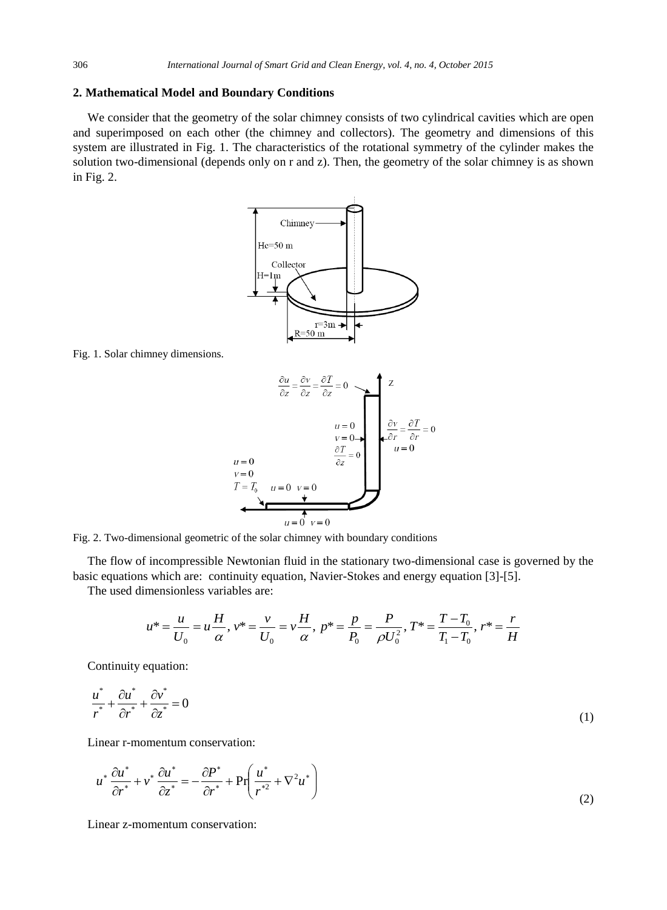#### **2. Mathematical Model and Boundary Conditions**

We consider that the geometry of the solar chimney consists of two cylindrical cavities which are open and superimposed on each other (the chimney and collectors). The geometry and dimensions of this system are illustrated in Fig. 1. The characteristics of the rotational symmetry of the cylinder makes the solution two-dimensional (depends only on r and z). Then, the geometry of the solar chimney is as shown in Fig. 2.



Fig. 1. Solar chimney dimensions.



Fig. 2. Two-dimensional geometric of the solar chimney with boundary conditions

The flow of incompressible Newtonian fluid in the stationary two-dimensional case is governed by the basic equations which are: continuity equation, Navier-Stokes and energy equation [3]-[5].

The used dimensionless variables are:

$$
u^* = \frac{u}{U_0} = u\frac{H}{\alpha}, v^* = \frac{v}{U_0} = v\frac{H}{\alpha}, p^* = \frac{p}{P_0} = \frac{P}{\rho U_0^2}, T^* = \frac{T - T_0}{T_1 - T_0}, r^* = \frac{r}{H}
$$

Continuity equation:

$$
\frac{u^*}{r^*} + \frac{\partial u^*}{\partial r^*} + \frac{\partial v^*}{\partial z^*} = 0
$$
\n(1)

Linear r-momentum conservation:

$$
u^* \frac{\partial u^*}{\partial r^*} + v^* \frac{\partial u^*}{\partial z^*} = -\frac{\partial P^*}{\partial r^*} + \Pr\left(\frac{u^*}{r^{*2}} + \nabla^2 u^*\right)
$$
\n(2)

Linear z-momentum conservation: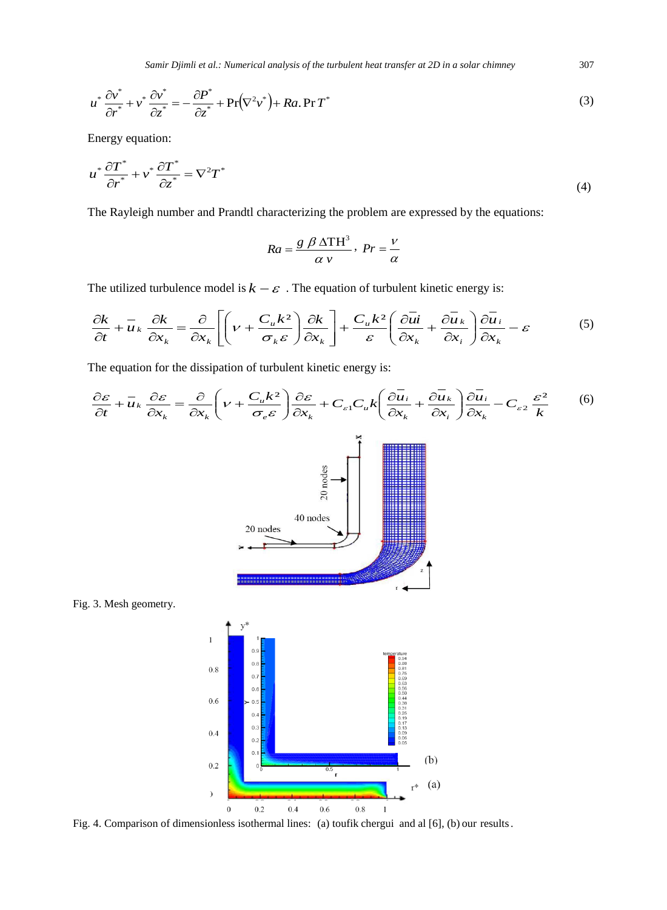*Samir Djimli et al.: Numerical analysis of the turbulent heat transfer at 2D in a solar chimney* 307

$$
u^* \frac{\partial v^*}{\partial r^*} + v^* \frac{\partial v^*}{\partial z^*} = -\frac{\partial P^*}{\partial z^*} + \Pr(\nabla^2 v^*) + Ra. \Pr{T^*}
$$
\n(3)

Energy equation:

$$
u^* \frac{\partial T^*}{\partial r^*} + v^* \frac{\partial T^*}{\partial z^*} = \nabla^2 T^* \tag{4}
$$

The Rayleigh number and Prandtl characterizing the problem are expressed by the equations:

$$
Ra = \frac{g \beta \Delta \text{TH}^3}{\alpha \nu}, \ Pr = \frac{\nu}{\alpha}
$$

The utilized turbulence model is  $k - \varepsilon$ . The equation of turbulent kinetic energy is:

$$
\frac{\partial k}{\partial t} + \overline{u}_k \frac{\partial k}{\partial x_k} = \frac{\partial}{\partial x_k} \left[ \left( v + \frac{C_u k^2}{\sigma_k \varepsilon} \right) \frac{\partial k}{\partial x_k} \right] + \frac{C_u k^2}{\varepsilon} \left( \frac{\partial \overline{u}}{\partial x_k} + \frac{\partial \overline{u}_k}{\partial x_i} \right) \frac{\partial \overline{u}_i}{\partial x_k} - \varepsilon \tag{5}
$$

The equation for the dissipation of turbulent kinetic energy is:







Fig. 4. Comparison of dimensionless isothermal lines: (a) toufik chergui and al [6], (b) our results.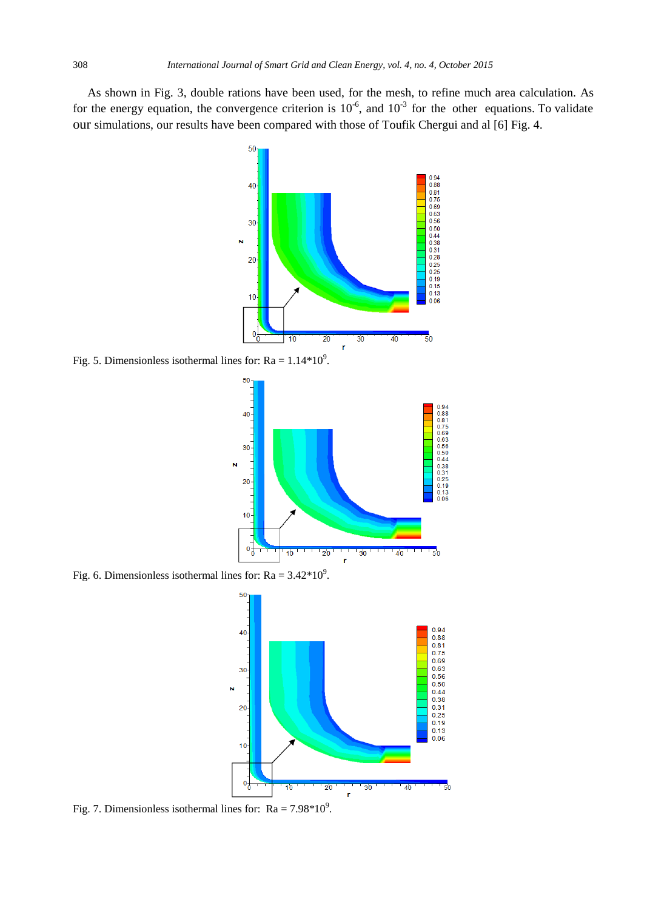As shown in Fig. 3, double rations have been used, for the mesh, to refine much area calculation. As for the energy equation, the convergence criterion is  $10^{-6}$ , and  $10^{-3}$  for the other equations. To validate our simulations, our results have been compared with those of Toufik Chergui and al [6] Fig. 4.



Fig. 5. Dimensionless isothermal lines for:  $Ra = 1.14*10^9$ .



Fig. 6. Dimensionless isothermal lines for:  $Ra = 3.42*10^9$ .



Fig. 7. Dimensionless isothermal lines for:  $Ra = 7.98*10^9$ .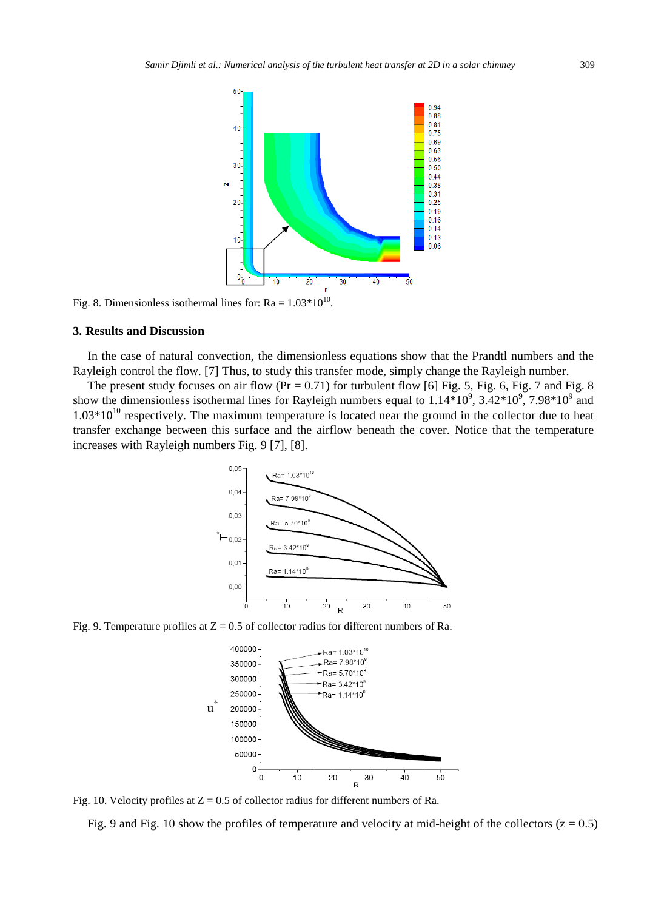

Fig. 8. Dimensionless isothermal lines for:  $Ra = 1.03*10^{10}$ .

#### **3. Results and Discussion**

In the case of natural convection, the dimensionless equations show that the Prandtl numbers and the Rayleigh control the flow. [7] Thus, to study this transfer mode, simply change the Rayleigh number.

The present study focuses on air flow  $(Pr = 0.71)$  for turbulent flow [6] Fig. 5, Fig. 6, Fig. 7 and Fig. 8 show the dimensionless isothermal lines for Rayleigh numbers equal to  $1.14*10^9$ ,  $3.42*10^9$ ,  $7.98*10^9$  and  $1.03*10^{10}$  respectively. The maximum temperature is located near the ground in the collector due to heat transfer exchange between this surface and the airflow beneath the cover. Notice that the temperature increases with Rayleigh numbers Fig. 9 [7], [8].



Fig. 9. Temperature profiles at  $Z = 0.5$  of collector radius for different numbers of Ra.



Fig. 10. Velocity profiles at  $Z = 0.5$  of collector radius for different numbers of Ra.

Fig. 9 and Fig. 10 show the profiles of temperature and velocity at mid-height of the collectors  $(z = 0.5)$